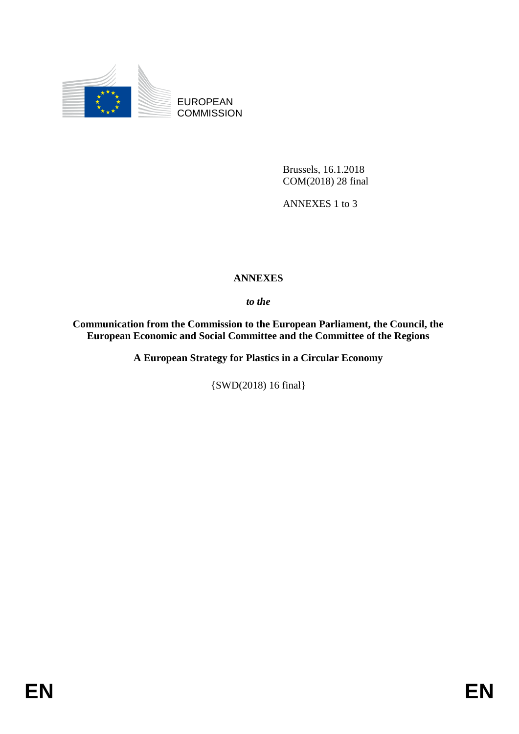

EUROPEAN **COMMISSION** 

> Brussels, 16.1.2018 COM(2018) 28 final

ANNEXES 1 to 3

# **ANNEXES**

*to the* 

**Communication from the Commission to the European Parliament, the Council, the European Economic and Social Committee and the Committee of the Regions** 

**A European Strategy for Plastics in a Circular Economy**

{SWD(2018) 16 final}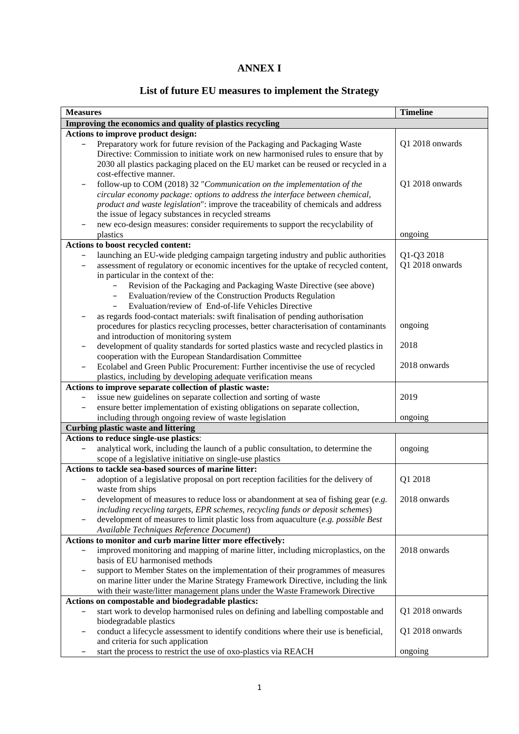# **ANNEX I**

# **List of future EU measures to implement the Strategy**

| <b>Measures</b>   |                                                                                                                                                                                                                                                                                                                                                                                                            | <b>Timeline</b>               |  |  |
|-------------------|------------------------------------------------------------------------------------------------------------------------------------------------------------------------------------------------------------------------------------------------------------------------------------------------------------------------------------------------------------------------------------------------------------|-------------------------------|--|--|
|                   | Improving the economics and quality of plastics recycling                                                                                                                                                                                                                                                                                                                                                  |                               |  |  |
|                   | Actions to improve product design:                                                                                                                                                                                                                                                                                                                                                                         |                               |  |  |
|                   | Preparatory work for future revision of the Packaging and Packaging Waste<br>Directive: Commission to initiate work on new harmonised rules to ensure that by<br>2030 all plastics packaging placed on the EU market can be reused or recycled in a<br>cost-effective manner.                                                                                                                              | Q1 2018 onwards               |  |  |
|                   | follow-up to COM (2018) 32 "Communication on the implementation of the<br>circular economy package: options to address the interface between chemical,<br>product and waste legislation": improve the traceability of chemicals and address<br>the issue of legacy substances in recycled streams                                                                                                          | Q1 2018 onwards               |  |  |
|                   | new eco-design measures: consider requirements to support the recyclability of<br>plastics                                                                                                                                                                                                                                                                                                                 | ongoing                       |  |  |
|                   | Actions to boost recycled content:                                                                                                                                                                                                                                                                                                                                                                         |                               |  |  |
|                   | launching an EU-wide pledging campaign targeting industry and public authorities<br>assessment of regulatory or economic incentives for the uptake of recycled content,<br>in particular in the context of the:<br>Revision of the Packaging and Packaging Waste Directive (see above)<br>Evaluation/review of the Construction Products Regulation<br>Evaluation/review of End-of-life Vehicles Directive | Q1-Q3 2018<br>Q1 2018 onwards |  |  |
|                   | as regards food-contact materials: swift finalisation of pending authorisation<br>procedures for plastics recycling processes, better characterisation of contaminants<br>and introduction of monitoring system                                                                                                                                                                                            | ongoing                       |  |  |
| $\qquad \qquad -$ | development of quality standards for sorted plastics waste and recycled plastics in<br>cooperation with the European Standardisation Committee<br>Ecolabel and Green Public Procurement: Further incentivise the use of recycled                                                                                                                                                                           | 2018<br>2018 onwards          |  |  |
|                   | plastics, including by developing adequate verification means                                                                                                                                                                                                                                                                                                                                              |                               |  |  |
|                   | Actions to improve separate collection of plastic waste:                                                                                                                                                                                                                                                                                                                                                   |                               |  |  |
|                   | issue new guidelines on separate collection and sorting of waste                                                                                                                                                                                                                                                                                                                                           | 2019                          |  |  |
|                   | ensure better implementation of existing obligations on separate collection,                                                                                                                                                                                                                                                                                                                               |                               |  |  |
|                   | including through ongoing review of waste legislation                                                                                                                                                                                                                                                                                                                                                      | ongoing                       |  |  |
|                   | <b>Curbing plastic waste and littering</b>                                                                                                                                                                                                                                                                                                                                                                 |                               |  |  |
|                   | Actions to reduce single-use plastics:<br>analytical work, including the launch of a public consultation, to determine the<br>scope of a legislative initiative on single-use plastics                                                                                                                                                                                                                     | ongoing                       |  |  |
|                   | Actions to tackle sea-based sources of marine litter:                                                                                                                                                                                                                                                                                                                                                      |                               |  |  |
|                   | adoption of a legislative proposal on port reception facilities for the delivery of<br>waste from ships                                                                                                                                                                                                                                                                                                    | Q1 2018                       |  |  |
|                   | development of measures to reduce loss or abandonment at sea of fishing gear (e.g.<br>including recycling targets, EPR schemes, recycling funds or deposit schemes)<br>development of measures to limit plastic loss from aquaculture (e.g. possible Best                                                                                                                                                  | 2018 onwards                  |  |  |
|                   | Available Techniques Reference Document)                                                                                                                                                                                                                                                                                                                                                                   |                               |  |  |
| —                 | Actions to monitor and curb marine litter more effectively:<br>improved monitoring and mapping of marine litter, including microplastics, on the                                                                                                                                                                                                                                                           | 2018 onwards                  |  |  |
|                   | basis of EU harmonised methods<br>support to Member States on the implementation of their programmes of measures<br>on marine litter under the Marine Strategy Framework Directive, including the link<br>with their waste/litter management plans under the Waste Framework Directive                                                                                                                     |                               |  |  |
|                   | Actions on compostable and biodegradable plastics:                                                                                                                                                                                                                                                                                                                                                         |                               |  |  |
|                   | start work to develop harmonised rules on defining and labelling compostable and<br>biodegradable plastics                                                                                                                                                                                                                                                                                                 | Q1 2018 onwards               |  |  |
|                   | conduct a lifecycle assessment to identify conditions where their use is beneficial,<br>and criteria for such application                                                                                                                                                                                                                                                                                  | Q1 2018 onwards               |  |  |
|                   | start the process to restrict the use of oxo-plastics via REACH                                                                                                                                                                                                                                                                                                                                            | ongoing                       |  |  |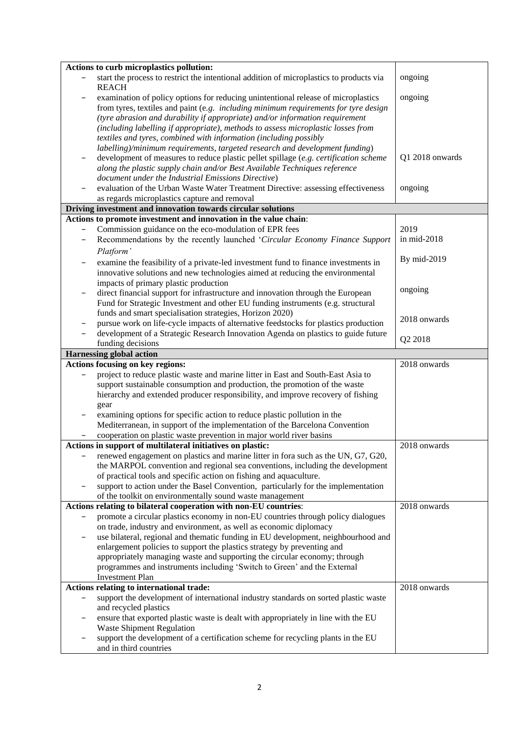|                   | Actions to curb microplastics pollution:                                                                                                                          |                 |
|-------------------|-------------------------------------------------------------------------------------------------------------------------------------------------------------------|-----------------|
|                   | start the process to restrict the intentional addition of microplastics to products via<br><b>REACH</b>                                                           | ongoing         |
|                   | examination of policy options for reducing unintentional release of microplastics                                                                                 | ongoing         |
|                   | from tyres, textiles and paint (e.g. including minimum requirements for tyre design                                                                               |                 |
|                   | (tyre abrasion and durability if appropriate) and/or information requirement                                                                                      |                 |
|                   | (including labelling if appropriate), methods to assess microplastic losses from                                                                                  |                 |
|                   | textiles and tyres, combined with information (including possibly                                                                                                 |                 |
|                   | labelling)/minimum requirements, targeted research and development funding)                                                                                       |                 |
|                   | development of measures to reduce plastic pellet spillage (e.g. certification scheme<br>along the plastic supply chain and/or Best Available Techniques reference | Q1 2018 onwards |
|                   | document under the Industrial Emissions Directive)                                                                                                                |                 |
|                   | evaluation of the Urban Waste Water Treatment Directive: assessing effectiveness                                                                                  | ongoing         |
|                   | as regards microplastics capture and removal                                                                                                                      |                 |
|                   | Driving investment and innovation towards circular solutions                                                                                                      |                 |
|                   | Actions to promote investment and innovation in the value chain:                                                                                                  |                 |
|                   | Commission guidance on the eco-modulation of EPR fees                                                                                                             | 2019            |
|                   | Recommendations by the recently launched 'Circular Economy Finance Support                                                                                        | in mid-2018     |
|                   | Platform'                                                                                                                                                         |                 |
|                   | examine the feasibility of a private-led investment fund to finance investments in                                                                                | By mid-2019     |
|                   | innovative solutions and new technologies aimed at reducing the environmental                                                                                     |                 |
|                   | impacts of primary plastic production                                                                                                                             |                 |
|                   | direct financial support for infrastructure and innovation through the European                                                                                   | ongoing         |
|                   | Fund for Strategic Investment and other EU funding instruments (e.g. structural                                                                                   |                 |
|                   | funds and smart specialisation strategies, Horizon 2020)                                                                                                          | 2018 onwards    |
|                   | pursue work on life-cycle impacts of alternative feedstocks for plastics production                                                                               |                 |
|                   | development of a Strategic Research Innovation Agenda on plastics to guide future                                                                                 | Q2 2018         |
|                   | funding decisions<br><b>Harnessing global action</b>                                                                                                              |                 |
|                   |                                                                                                                                                                   |                 |
|                   |                                                                                                                                                                   |                 |
|                   | <b>Actions focusing on key regions:</b>                                                                                                                           | 2018 onwards    |
|                   | project to reduce plastic waste and marine litter in East and South-East Asia to                                                                                  |                 |
|                   | support sustainable consumption and production, the promotion of the waste                                                                                        |                 |
|                   | hierarchy and extended producer responsibility, and improve recovery of fishing<br>gear                                                                           |                 |
|                   | examining options for specific action to reduce plastic pollution in the                                                                                          |                 |
|                   | Mediterranean, in support of the implementation of the Barcelona Convention                                                                                       |                 |
|                   | cooperation on plastic waste prevention in major world river basins                                                                                               |                 |
|                   | Actions in support of multilateral initiatives on plastic:                                                                                                        | 2018 onwards    |
|                   | renewed engagement on plastics and marine litter in fora such as the UN, G7, G20,                                                                                 |                 |
|                   | the MARPOL convention and regional sea conventions, including the development                                                                                     |                 |
|                   | of practical tools and specific action on fishing and aquaculture.                                                                                                |                 |
|                   | support to action under the Basel Convention, particularly for the implementation                                                                                 |                 |
|                   | of the toolkit on environmentally sound waste management                                                                                                          |                 |
|                   | Actions relating to bilateral cooperation with non-EU countries:                                                                                                  | 2018 onwards    |
|                   | promote a circular plastics economy in non-EU countries through policy dialogues<br>on trade, industry and environment, as well as economic diplomacy             |                 |
|                   | use bilateral, regional and thematic funding in EU development, neighbourhood and                                                                                 |                 |
|                   | enlargement policies to support the plastics strategy by preventing and                                                                                           |                 |
|                   | appropriately managing waste and supporting the circular economy; through                                                                                         |                 |
|                   | programmes and instruments including 'Switch to Green' and the External                                                                                           |                 |
|                   | <b>Investment Plan</b>                                                                                                                                            |                 |
|                   | Actions relating to international trade:                                                                                                                          | 2018 onwards    |
| $\qquad \qquad -$ | support the development of international industry standards on sorted plastic waste                                                                               |                 |
|                   | and recycled plastics                                                                                                                                             |                 |
|                   | ensure that exported plastic waste is dealt with appropriately in line with the EU                                                                                |                 |
|                   | <b>Waste Shipment Regulation</b><br>support the development of a certification scheme for recycling plants in the EU                                              |                 |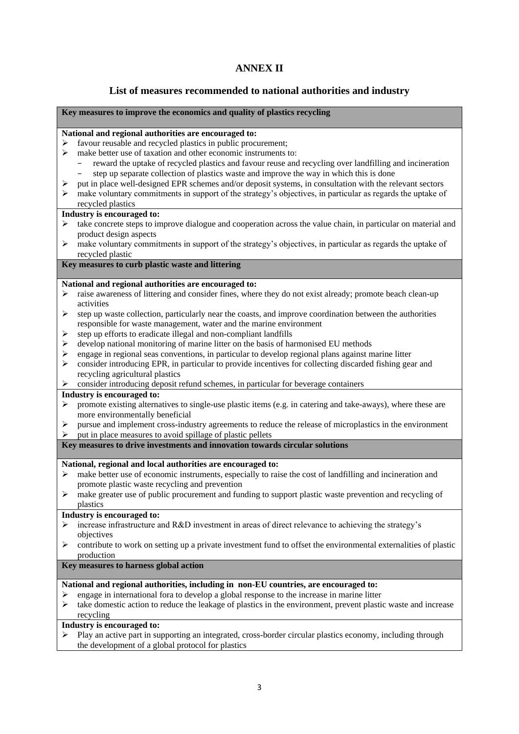## **ANNEX II**

### **List of measures recommended to national authorities and industry**

#### **Key measures to improve the economics and quality of plastics recycling**

#### **National and regional authorities are encouraged to:**

- $\triangleright$  favour reusable and recycled plastics in public procurement;
- $\triangleright$  make better use of taxation and other economic instruments to:
	- − reward the uptake of recycled plastics and favour reuse and recycling over landfilling and incineration step up separate collection of plastics waste and improve the way in which this is done
- $\triangleright$  put in place well-designed EPR schemes and/or deposit systems, in consultation with the relevant sectors
- make voluntary commitments in support of the strategy's objectives, in particular as regards the uptake of recycled plastics

#### **Industry is encouraged to:**

- $\triangleright$  take concrete steps to improve dialogue and cooperation across the value chain, in particular on material and product design aspects
- $\triangleright$  make voluntary commitments in support of the strategy's objectives, in particular as regards the uptake of recycled plastic

### **Key measures to curb plastic waste and littering**

#### **National and regional authorities are encouraged to:**

- raise awareness of littering and consider fines, where they do not exist already; promote beach clean-up activities
- $\triangleright$  step up waste collection, particularly near the coasts, and improve coordination between the authorities responsible for waste management, water and the marine environment
- $\triangleright$  step up efforts to eradicate illegal and non-compliant landfills
- $\triangleright$  develop national monitoring of marine litter on the basis of harmonised EU methods
- engage in regional seas conventions, in particular to develop regional plans against marine litter
- $\triangleright$  consider introducing EPR, in particular to provide incentives for collecting discarded fishing gear and recycling agricultural plastics
- consider introducing deposit refund schemes, in particular for beverage containers

#### **Industry is encouraged to:**

- promote existing alternatives to single-use plastic items (e.g. in catering and take-aways), where these are more environmentally beneficial
- $\triangleright$  pursue and implement cross-industry agreements to reduce the release of microplastics in the environment
- put in place measures to avoid spillage of plastic pellets
- **Key measures to drive investments and innovation towards circular solutions**

#### **National, regional and local authorities are encouraged to:**

- make better use of economic instruments, especially to raise the cost of landfilling and incineration and promote plastic waste recycling and prevention
- $\triangleright$  make greater use of public procurement and funding to support plastic waste prevention and recycling of plastics

#### **Industry is encouraged to:**

- $\geq$  increase infrastructure and R&D investment in areas of direct relevance to achieving the strategy's objectives
- $\triangleright$  contribute to work on setting up a private investment fund to offset the environmental externalities of plastic production

#### **Key measures to harness global action**

#### **National and regional authorities, including in non-EU countries, are encouraged to:**

- engage in international fora to develop a global response to the increase in marine litter
- $\triangleright$  take domestic action to reduce the leakage of plastics in the environment, prevent plastic waste and increase recycling

### **Industry is encouraged to:**

 Play an active part in supporting an integrated, cross-border circular plastics economy, including through the development of a global protocol for plastics